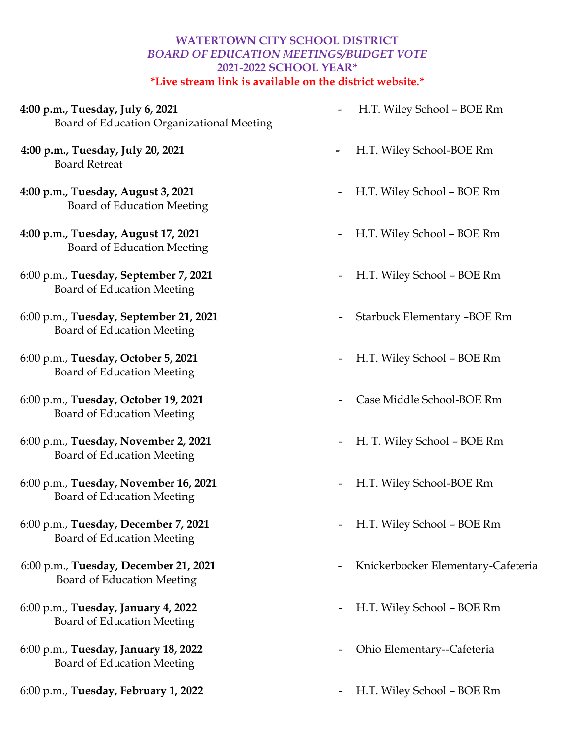## **WATERTOWN CITY SCHOOL DISTRICT** *BOARD OF EDUCATION MEETINGS/BUDGET VOTE* **2021-2022 SCHOOL YEAR\* \*Live stream link is available on the district website.\***

- **4:00 p.m., Tuesday, July 6, 2021** -H.T. Wiley School BOE Rm Board of Education Organizational Meeting
- **4:00 p.m., Tuesday, July 20, 2021** H.T. Wiley School-BOE Rm Board Retreat
- **4:00 p.m., Tuesday, August 3, 2021** H.T. Wiley School BOE Rm Board of Education Meeting
- **4:00 p.m., Tuesday, August 17, 2021** H.T. Wiley School BOE Rm Board of Education Meeting
- 6:00 p.m., **Tuesday, September 7, 2021** H.T. Wiley School BOE Rm Board of Education Meeting
- 6:00 p.m., **Tuesday, September 21, 2021** Starbuck Elementary –BOE Rm Board of Education Meeting
- 6:00 p.m., **Tuesday, October 5, 2021** H.T. Wiley School BOE Rm Board of Education Meeting
- 6:00 p.m., **Tuesday, October 19, 2021** Case Middle School-BOE Rm Board of Education Meeting
- 6:00 p.m., **Tuesday, November 2, 2021** H. T. Wiley School BOE Rm Board of Education Meeting
- 6:00 p.m., **Tuesday, November 16, 2021** H.T. Wiley School-BOE Rm Board of Education Meeting
- 6:00 p.m., **Tuesday, December 7, 2021** H.T. Wiley School BOE Rm Board of Education Meeting
- Board of Education Meeting
- 6:00 p.m., **Tuesday, January 4, 2022** H.T. Wiley School BOE Rm Board of Education Meeting
- 6:00 p.m., **Tuesday, January 18, 2022** Ohio Elementary--Cafeteria Board of Education Meeting
- 6:00 p.m., **Tuesday, February 1, 2022** H.T. Wiley School BOE Rm
- 
- 
- 
- 
- 
- 
- 
- 
- 
- 
- 
- 6:00 p.m., **Tuesday, December 21, 2021** Knickerbocker Elementary-Cafeteria
	-
	-
	-